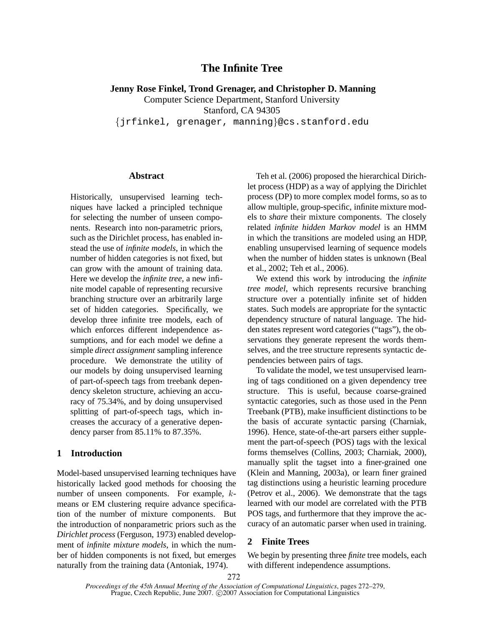# **The Infinite Tree**

# **Jenny Rose Finkel, Trond Grenager, and Christopher D. Manning**

Computer Science Department, Stanford University Stanford, CA 94305 {jrfinkel, grenager, manning}@cs.stanford.edu

### **Abstract**

Historically, unsupervised learning techniques have lacked a principled technique for selecting the number of unseen components. Research into non-parametric priors, such as the Dirichlet process, has enabled instead the use of *infinite models*, in which the number of hidden categories is not fixed, but can grow with the amount of training data. Here we develop the *infinite tree*, a new infinite model capable of representing recursive branching structure over an arbitrarily large set of hidden categories. Specifically, we develop three infinite tree models, each of which enforces different independence assumptions, and for each model we define a simple *direct assignment* sampling inference procedure. We demonstrate the utility of our models by doing unsupervised learning of part-of-speech tags from treebank dependency skeleton structure, achieving an accuracy of 75.34%, and by doing unsupervised splitting of part-of-speech tags, which increases the accuracy of a generative dependency parser from 85.11% to 87.35%.

# **1 Introduction**

Model-based unsupervised learning techniques have historically lacked good methods for choosing the number of unseen components. For example, kmeans or EM clustering require advance specification of the number of mixture components. But the introduction of nonparametric priors such as the *Dirichlet process* (Ferguson, 1973) enabled development of *infinite mixture models*, in which the number of hidden components is not fixed, but emerges naturally from the training data (Antoniak, 1974).

Teh et al. (2006) proposed the hierarchical Dirichlet process (HDP) as a way of applying the Dirichlet process (DP) to more complex model forms, so as to allow multiple, group-specific, infinite mixture models to *share* their mixture components. The closely related *infinite hidden Markov model* is an HMM in which the transitions are modeled using an HDP, enabling unsupervised learning of sequence models when the number of hidden states is unknown (Beal et al., 2002; Teh et al., 2006).

We extend this work by introducing the *infinite tree model*, which represents recursive branching structure over a potentially infinite set of hidden states. Such models are appropriate for the syntactic dependency structure of natural language. The hidden states represent word categories ("tags"), the observations they generate represent the words themselves, and the tree structure represents syntactic dependencies between pairs of tags.

To validate the model, we test unsupervised learning of tags conditioned on a given dependency tree structure. This is useful, because coarse-grained syntactic categories, such as those used in the Penn Treebank (PTB), make insufficient distinctions to be the basis of accurate syntactic parsing (Charniak, 1996). Hence, state-of-the-art parsers either supplement the part-of-speech (POS) tags with the lexical forms themselves (Collins, 2003; Charniak, 2000), manually split the tagset into a finer-grained one (Klein and Manning, 2003a), or learn finer grained tag distinctions using a heuristic learning procedure (Petrov et al., 2006). We demonstrate that the tags learned with our model are correlated with the PTB POS tags, and furthermore that they improve the accuracy of an automatic parser when used in training.

# **2 Finite Trees**

We begin by presenting three *finite* tree models, each with different independence assumptions.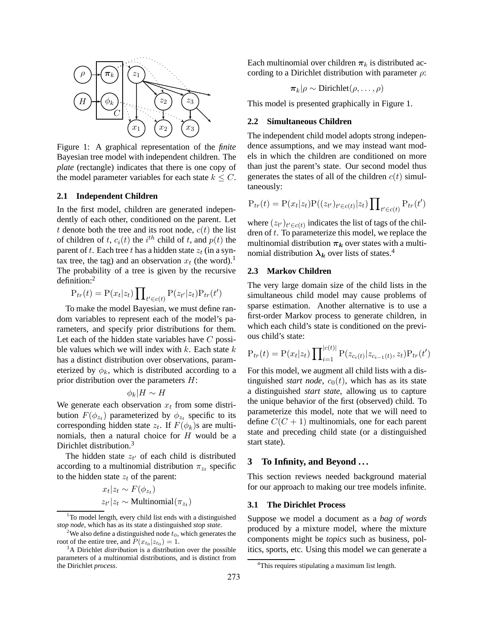

Figure 1: A graphical representation of the *finite* Bayesian tree model with independent children. The *plate* (rectangle) indicates that there is one copy of the model parameter variables for each state  $k \leq C$ .

# **2.1 Independent Children**

In the first model, children are generated independently of each other, conditioned on the parent. Let t denote both the tree and its root node,  $c(t)$  the list of children of t,  $c_i(t)$  the  $i^{th}$  child of t, and  $p(t)$  the parent of t. Each tree t has a hidden state  $z_t$  (in a syntax tree, the tag) and an observation  $x_t$  (the word).<sup>1</sup> The probability of a tree is given by the recursive definition:<sup>2</sup>

$$
P_{tr}(t) = P(x_t|z_t) \prod_{t' \in c(t)} P(z_{t'}|z_t) P_{tr}(t')
$$

To make the model Bayesian, we must define random variables to represent each of the model's parameters, and specify prior distributions for them. Let each of the hidden state variables have  $C$  possible values which we will index with  $k$ . Each state  $k$ has a distinct distribution over observations, parameterized by  $\phi_k$ , which is distributed according to a prior distribution over the parameters H:

$$
\phi_k|H \sim H
$$

We generate each observation  $x_t$  from some distribution  $F(\phi_{z_t})$  parameterized by  $\phi_{z_t}$  specific to its corresponding hidden state  $z_t$ . If  $F(\phi_k)$ s are multinomials, then a natural choice for H would be a Dirichlet distribution.<sup>3</sup>

The hidden state  $z_t$  of each child is distributed according to a multinomial distribution  $\pi_{z_t}$  specific to the hidden state  $z_t$  of the parent:

$$
x_t | z_t \sim F(\phi_{z_t})
$$
  

$$
z_{t'} | z_t \sim \text{Multinomial}(\pi_{z_t})
$$

)

 $1$ To model length, every child list ends with a distinguished *stop node*, which has as its state a distinguished *stop state*.

Each multinomial over children  $\pi_k$  is distributed according to a Dirichlet distribution with parameter  $\rho$ :

$$
\pi_k|\rho \sim \text{Dirichlet}(\rho, \ldots, \rho)
$$

This model is presented graphically in Figure 1.

# **2.2 Simultaneous Children**

The independent child model adopts strong independence assumptions, and we may instead want models in which the children are conditioned on more than just the parent's state. Our second model thus generates the states of all of the children  $c(t)$  simultaneously:

$$
P_{tr}(t) = P(x_t|z_t)P((z_{t'})_{t' \in c(t)}|z_t) \prod_{t' \in c(t)} P_{tr}(t')
$$

where  $(z_{t'})_{t' \in c(t)}$  indicates the list of tags of the children of  $t$ . To parameterize this model, we replace the multinomial distribution  $\pi_k$  over states with a multinomial distribution  $\lambda_k$  over lists of states.<sup>4</sup>

# **2.3 Markov Children**

The very large domain size of the child lists in the simultaneous child model may cause problems of sparse estimation. Another alternative is to use a first-order Markov process to generate children, in which each child's state is conditioned on the previous child's state:

$$
P_{tr}(t) = P(x_t|z_t) \prod_{i=1}^{|c(t)|} P(z_{c_i(t)}|z_{c_{i-1}(t)}, z_t) P_{tr}(t')
$$

For this model, we augment all child lists with a distinguished *start node*,  $c_0(t)$ , which has as its state a distinguished *start state*, allowing us to capture the unique behavior of the first (observed) child. To parameterize this model, note that we will need to define  $C(C + 1)$  multinomials, one for each parent state and preceding child state (or a distinguished start state).

# **3 To Infinity, and Beyond . . .**

This section reviews needed background material for our approach to making our tree models infinite.

# **3.1 The Dirichlet Process**

Suppose we model a document as a *bag of words* produced by a mixture model, where the mixture components might be *topics* such as business, politics, sports, etc. Using this model we can generate a

<sup>&</sup>lt;sup>2</sup>We also define a distinguished node  $t_0$ , which generates the root of the entire tree, and  $P(x_{t_0}|z_{t_0}) = 1$ .

<sup>&</sup>lt;sup>3</sup>A Dirichlet *distribution* is a distribution over the possible parameters of a multinomial distributions, and is distinct from the Dirichlet *process*.

<sup>&</sup>lt;sup>4</sup>This requires stipulating a maximum list length.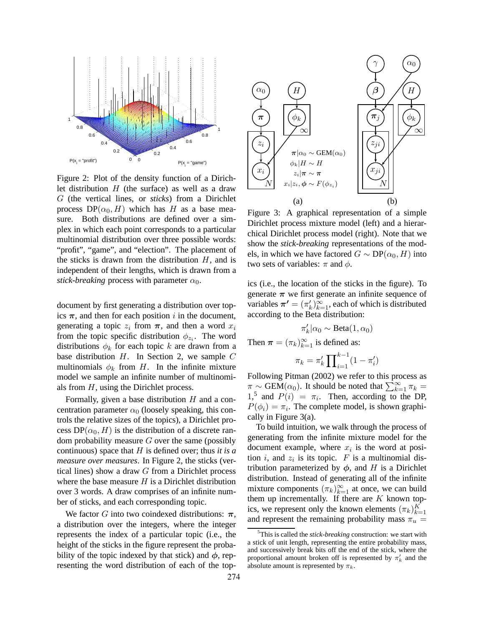

Figure 2: Plot of the density function of a Dirichlet distribution  $H$  (the surface) as well as a draw G (the vertical lines, or *sticks*) from a Dirichlet process  $DP(\alpha_0, H)$  which has H as a base measure. Both distributions are defined over a simplex in which each point corresponds to a particular multinomial distribution over three possible words: "profit", "game", and "election". The placement of the sticks is drawn from the distribution  $H$ , and is independent of their lengths, which is drawn from a *stick-breaking* process with parameter  $\alpha_0$ .

document by first generating a distribution over topics  $\pi$ , and then for each position i in the document, generating a topic  $z_i$  from  $\pi$ , and then a word  $x_i$ from the topic specific distribution  $\phi_{z_i}$ . The word distributions  $\phi_k$  for each topic k are drawn from a base distribution  $H$ . In Section 2, we sample  $C$ multinomials  $\phi_k$  from H. In the infinite mixture model we sample an infinite number of multinomials from H, using the Dirichlet process.

Formally, given a base distribution  $H$  and a concentration parameter  $\alpha_0$  (loosely speaking, this controls the relative sizes of the topics), a Dirichlet process  $DP(\alpha_0, H)$  is the distribution of a discrete random probability measure  $G$  over the same (possibly continuous) space that H is defined over; thus *it is a measure over measures*. In Figure 2, the sticks (vertical lines) show a draw G from a Dirichlet process where the base measure  $H$  is a Dirichlet distribution over 3 words. A draw comprises of an infinite number of sticks, and each corresponding topic.

We factor G into two coindexed distributions:  $\pi$ , a distribution over the integers, where the integer represents the index of a particular topic (i.e., the height of the sticks in the figure represent the probability of the topic indexed by that stick) and  $\phi$ , representing the word distribution of each of the top-



Figure 3: A graphical representation of a simple Dirichlet process mixture model (left) and a hierarchical Dirichlet process model (right). Note that we show the *stick-breaking* representations of the models, in which we have factored  $G \sim DP(\alpha_0, H)$  into two sets of variables:  $\pi$  and  $\phi$ .

ics (i.e., the location of the sticks in the figure). To generate  $\pi$  we first generate an infinite sequence of variables  $\pi' = (\pi'_k)_{k=1}^{\infty}$ , each of which is distributed according to the Beta distribution:

$$
\pi'_k|\alpha_0 \sim \text{Beta}(1, \alpha_0)
$$

Then  $\boldsymbol{\pi} = (\pi_k)_{k=1}^{\infty}$  is defined as:

$$
\pi_k = \pi'_k \prod_{i=1}^{k-1} (1 - \pi'_i)
$$

Following Pitman (2002) we refer to this process as  $\pi \sim \text{GEM}(\alpha_0)$ . It should be noted that  $\sum_{k=1}^{\infty} \pi_k =$ 1,<sup>5</sup> and  $P(i) = \pi_i$ . Then, according to the DP,  $P(\phi_i) = \pi_i$ . The complete model, is shown graphically in Figure 3(a).

To build intuition, we walk through the process of generating from the infinite mixture model for the document example, where  $x_i$  is the word at position i, and  $z_i$  is its topic. F is a multinomial distribution parameterized by  $\phi$ , and H is a Dirichlet distribution. Instead of generating all of the infinite mixture components  $(\pi_k)_{k=1}^{\infty}$  at once, we can build them up incrementally. If there are  $K$  known topics, we represent only the known elements  $(\pi_k)_{k=1}^K$ and represent the remaining probability mass  $\pi_u$  =

<sup>5</sup>This is called the *stick-breaking* construction: we start with a stick of unit length, representing the entire probability mass, and successively break bits off the end of the stick, where the proportional amount broken off is represented by  $\pi'_{k}$  and the absolute amount is represented by  $\pi_k$ .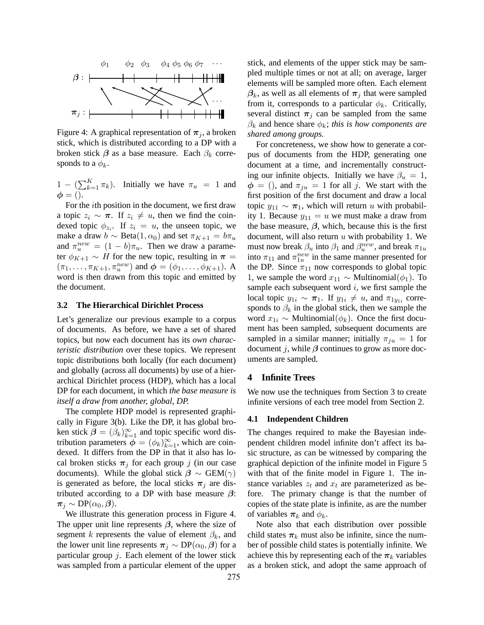

Figure 4: A graphical representation of  $\pi_i$ , a broken stick, which is distributed according to a DP with a broken stick  $\beta$  as a base measure. Each  $\beta_k$  corresponds to a  $\phi_k$ .

 $1 - (\sum_{k=1}^{K} \pi_k)$ . Initially we have  $\pi_u = 1$  and  $\phi = ()$ .

For the ith position in the document, we first draw a topic  $z_i \sim \pi$ . If  $z_i \neq u$ , then we find the coindexed topic  $\phi_{z_i}$ . If  $z_i = u$ , the unseen topic, we make a draw  $b \sim \text{Beta}(1, \alpha_0)$  and set  $\pi_{K+1} = b\pi_u$ and  $\pi_u^{new} = (1 - b)\pi_u$ . Then we draw a parameter  $\phi_{K+1} \sim H$  for the new topic, resulting in  $\pi =$  $(\pi_1, ..., \pi_{K+1}, \pi_u^{new})$  and  $\boldsymbol{\phi} = (\phi_1, ..., \phi_{K+1})$ . A word is then drawn from this topic and emitted by the document.

#### **3.2 The Hierarchical Dirichlet Process**

Let's generalize our previous example to a corpus of documents. As before, we have a set of shared topics, but now each document has its *own characteristic distribution* over these topics. We represent topic distributions both locally (for each document) and globally (across all documents) by use of a hierarchical Dirichlet process (HDP), which has a local DP for each document, in which *the base measure is itself a draw from another, global, DP.*

The complete HDP model is represented graphically in Figure 3(b). Like the DP, it has global broken stick  $\beta = (\beta_k)_{k=1}^{\infty}$  and topic specific word distribution parameters  $\phi = (\phi_k)_{k=1}^{\infty}$ , which are coindexed. It differs from the DP in that it also has local broken sticks  $\pi_j$  for each group j (in our case documents). While the global stick  $\beta \sim \text{GEM}(\gamma)$ is generated as before, the local sticks  $\pi_i$  are distributed according to a DP with base measure  $\beta$ :  $\pi_i \sim DP(\alpha_0, \beta).$ 

We illustrate this generation process in Figure 4. The upper unit line represents  $\beta$ , where the size of segment k represents the value of element  $\beta_k$ , and the lower unit line represents  $\pi_j \sim DP(\alpha_0, \beta)$  for a particular group  $j$ . Each element of the lower stick was sampled from a particular element of the upper stick, and elements of the upper stick may be sampled multiple times or not at all; on average, larger elements will be sampled more often. Each element  $\beta_k$ , as well as all elements of  $\pi_j$  that were sampled from it, corresponds to a particular  $\phi_k$ . Critically, several distinct  $\pi_i$  can be sampled from the same  $\beta_k$  and hence share  $\phi_k$ ; *this is how components are shared among groups.*

For concreteness, we show how to generate a corpus of documents from the HDP, generating one document at a time, and incrementally constructing our infinite objects. Initially we have  $\beta_u = 1$ ,  $\phi = ()$ , and  $\pi_{ju} = 1$  for all j. We start with the first position of the first document and draw a local topic  $y_{11} \sim \pi_1$ , which will return u with probability 1. Because  $y_{11} = u$  we must make a draw from the base measure,  $\beta$ , which, because this is the first document, will also return  $u$  with probability 1. We must now break  $\beta_u$  into  $\beta_1$  and  $\beta_u^{new}$ , and break  $\pi_{1u}$ into  $\pi_{11}$  and  $\pi_{1u}^{new}$  in the same manner presented for the DP. Since  $\pi_{11}$  now corresponds to global topic 1, we sample the word  $x_{11}$  ∼ Multinomial( $\phi_1$ ). To sample each subsequent word  $i$ , we first sample the local topic  $y_{1i} \sim \pi_1$ . If  $y_{1i} \neq u$ , and  $\pi_{1y_{1i}}$  corresponds to  $\beta_k$  in the global stick, then we sample the word  $x_{1i} \sim$  Multinomial( $\phi_k$ ). Once the first document has been sampled, subsequent documents are sampled in a similar manner; initially  $\pi_{iu} = 1$  for document j, while  $\beta$  continues to grow as more documents are sampled.

### **4 Infinite Trees**

We now use the techniques from Section 3 to create infinite versions of each tree model from Section 2.

#### **4.1 Independent Children**

The changes required to make the Bayesian independent children model infinite don't affect its basic structure, as can be witnessed by comparing the graphical depiction of the infinite model in Figure 5 with that of the finite model in Figure 1. The instance variables  $z_t$  and  $x_t$  are parameterized as before. The primary change is that the number of copies of the state plate is infinite, as are the number of variables  $\pi_k$  and  $\phi_k$ .

Note also that each distribution over possible child states  $\pi_k$  must also be infinite, since the number of possible child states is potentially infinite. We achieve this by representing each of the  $\pi_k$  variables as a broken stick, and adopt the same approach of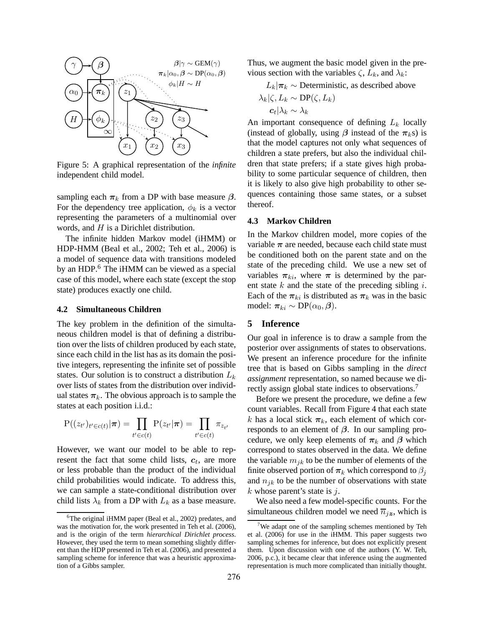

Figure 5: A graphical representation of the *infinite* independent child model.

sampling each  $\pi_k$  from a DP with base measure  $\beta$ . For the dependency tree application,  $\phi_k$  is a vector representing the parameters of a multinomial over words, and H is a Dirichlet distribution.

The infinite hidden Markov model (iHMM) or HDP-HMM (Beal et al., 2002; Teh et al., 2006) is a model of sequence data with transitions modeled by an HDP.<sup>6</sup> The iHMM can be viewed as a special case of this model, where each state (except the stop state) produces exactly one child.

#### **4.2 Simultaneous Children**

The key problem in the definition of the simultaneous children model is that of defining a distribution over the lists of children produced by each state, since each child in the list has as its domain the positive integers, representing the infinite set of possible states. Our solution is to construct a distribution  $L_k$ over lists of states from the distribution over individual states  $\pi_k$ . The obvious approach is to sample the states at each position i.i.d.:

$$
P((z_{t'})_{t' \in c(t)} | \boldsymbol{\pi}) = \prod_{t' \in c(t)} P(z_{t'} | \boldsymbol{\pi}) = \prod_{t' \in c(t)} \pi_{z_{t'}}
$$

However, we want our model to be able to represent the fact that some child lists,  $c_t$ , are more or less probable than the product of the individual child probabilities would indicate. To address this, we can sample a state-conditional distribution over child lists  $\lambda_k$  from a DP with  $L_k$  as a base measure. Thus, we augment the basic model given in the previous section with the variables  $\zeta$ ,  $L_k$ , and  $\lambda_k$ :

 $L_k|\pi_k \sim$  Deterministic, as described above  $\lambda_k|\zeta, L_k \sim \text{DP}(\zeta, L_k)$  $\boldsymbol{c}_t|\lambda_k\sim\lambda_k$ 

An important consequence of defining  $L_k$  locally (instead of globally, using  $\beta$  instead of the  $\pi_k$ s) is that the model captures not only what sequences of children a state prefers, but also the individual children that state prefers; if a state gives high probability to some particular sequence of children, then it is likely to also give high probability to other sequences containing those same states, or a subset thereof.

#### **4.3 Markov Children**

In the Markov children model, more copies of the variable  $\pi$  are needed, because each child state must be conditioned both on the parent state and on the state of the preceding child. We use a new set of variables  $\pi_{ki}$ , where  $\pi$  is determined by the parent state  $k$  and the state of the preceding sibling  $i$ . Each of the  $\pi_{ki}$  is distributed as  $\pi_k$  was in the basic model:  $\pi_{ki} \sim DP(\alpha_0, \beta)$ .

### **5 Inference**

Our goal in inference is to draw a sample from the posterior over assignments of states to observations. We present an inference procedure for the infinite tree that is based on Gibbs sampling in the *direct assignment* representation, so named because we directly assign global state indices to observations.<sup>7</sup>

Before we present the procedure, we define a few count variables. Recall from Figure 4 that each state k has a local stick  $\pi_k$ , each element of which corresponds to an element of  $\beta$ . In our sampling procedure, we only keep elements of  $\pi_k$  and  $\beta$  which correspond to states observed in the data. We define the variable  $m_{ik}$  to be the number of elements of the finite observed portion of  $\pi_k$  which correspond to  $\beta_i$ and  $n_{jk}$  to be the number of observations with state  $k$  whose parent's state is  $j$ .

We also need a few model-specific counts. For the simultaneous children model we need  $\overline{n}_{jz}$ , which is

 ${}^{6}$ The original iHMM paper (Beal et al., 2002) predates, and was the motivation for, the work presented in Teh et al. (2006), and is the origin of the term *hierarchical Dirichlet process*. However, they used the term to mean something slightly different than the HDP presented in Teh et al. (2006), and presented a sampling scheme for inference that was a heuristic approximation of a Gibbs sampler.

<sup>7</sup>We adapt one of the sampling schemes mentioned by Teh et al. (2006) for use in the iHMM. This paper suggests two sampling schemes for inference, but does not explicitly present them. Upon discussion with one of the authors (Y. W. Teh, 2006, p.c.), it became clear that inference using the augmented representation is much more complicated than initially thought.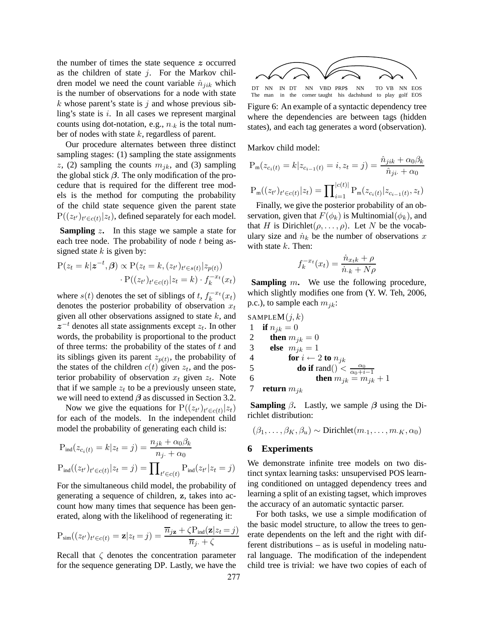the number of times the state sequence z occurred as the children of state  $j$ . For the Markov children model we need the count variable  $\hat{n}_{ijk}$  which is the number of observations for a node with state  $k$  whose parent's state is  $j$  and whose previous sibling's state is  $i$ . In all cases we represent marginal counts using dot-notation, e.g.,  $n_k$  is the total number of nodes with state  $k$ , regardless of parent.

Our procedure alternates between three distinct sampling stages: (1) sampling the state assignments z, (2) sampling the counts  $m_{ik}$ , and (3) sampling the global stick  $\beta$ . The only modification of the procedure that is required for the different tree models is the method for computing the probability of the child state sequence given the parent state  $P((z_{t'})_{t' \in c(t)} | z_t)$ , defined separately for each model.

**Sampling** z**.** In this stage we sample a state for each tree node. The probability of node  $t$  being assigned state  $k$  is given by:

$$
P(z_t = k | \mathbf{z}^{-t}, \boldsymbol{\beta}) \propto P(z_t = k, (z_{t'})_{t' \in s(t)} | z_{p(t)})
$$

$$
\cdot P((z_{t'})_{t' \in c(t)} | z_t = k) \cdot f_k^{-x_t}(x_t)
$$

where  $s(t)$  denotes the set of siblings of t,  $f_k^{-x_t}$  $\binom{x-t}{k}(x_t)$ denotes the posterior probability of observation  $x_t$ given all other observations assigned to state  $k$ , and  $z^{-t}$  denotes all state assignments except  $z_t$ . In other words, the probability is proportional to the product of three terms: the probability of the states of  $t$  and its siblings given its parent  $z_{p(t)}$ , the probability of the states of the children  $c(t)$  given  $z_t$ , and the posterior probability of observation  $x_t$  given  $z_t$ . Note that if we sample  $z_t$  to be a previously unseen state, we will need to extend  $\beta$  as discussed in Section 3.2.

Now we give the equations for  $P((z_{t'})_{t' \in c(t)} | z_t)$ for each of the models. In the independent child model the probability of generating each child is:

$$
P_{\text{ind}}(z_{c_i(t)} = k | z_t = j) = \frac{n_{jk} + \alpha_0 \beta_k}{n_j + \alpha_0}
$$

$$
P_{\text{ind}}((z_{t'})_{t' \in c(t)} | z_t = j) = \prod_{t' \in c(t)} P_{\text{ind}}(z_{t'} | z_t = j)
$$

For the simultaneous child model, the probability of generating a sequence of children, z, takes into account how many times that sequence has been generated, along with the likelihood of regenerating it:

$$
P_{sim}((z_{t'})_{t' \in c(t)} = \mathbf{z}|z_t = j) = \frac{\overline{n}_{j\mathbf{z}} + \zeta P_{ind}(\mathbf{z}|z_t = j)}{\overline{n}_{j\cdot} + \zeta}
$$

Recall that  $\zeta$  denotes the concentration parameter for the sequence generating DP. Lastly, we have the



DT NN IN DT NN VBD PRP\$ NN TO VB NN EOS The man in the corner taught his dachshund to play golf EOS Figure 6: An example of a syntactic dependency tree

where the dependencies are between tags (hidden states), and each tag generates a word (observation).

Markov child model:

$$
P_m(z_{c_i(t)} = k | z_{c_{i-1}(t)} = i, z_t = j) = \frac{\hat{n}_{jik} + \alpha_0 \beta_k}{\hat{n}_{ji} + \alpha_0}
$$

$$
P_m((z_{t'})_{t' \in c(t)} | z_t) = \prod_{i=1}^{|c(t)|} P_m(z_{c_i(t)} | z_{c_{i-1}(t)}, z_t)
$$

Finally, we give the posterior probability of an observation, given that  $F(\phi_k)$  is Multinomial $(\phi_k)$ , and that H is Dirichlet $(\rho, \ldots, \rho)$ . Let N be the vocabulary size and  $\dot{n}_k$  be the number of observations x with state  $k$ . Then:

$$
f_k^{-x_t}(x_t) = \frac{\dot{n}_{x_t k} + \rho}{\dot{n}_{\cdot k} + N\rho}
$$

**Sampling** m**.** We use the following procedure, which slightly modifies one from (Y. W. Teh, 2006, p.c.), to sample each  $m_{jk}$ :

SAMPLEM(j, k)  
\n1 if 
$$
n_{jk} = 0
$$
  
\n2 then  $m_{jk} = 0$   
\n3 else  $m_{jk} = 1$   
\n4 for  $i \leftarrow 2$  to  $n_{jk}$   
\n5 do if  $rand() < \frac{\alpha_0}{\alpha_0 + i - 1}$   
\n6 then  $m_{jk} = m_{jk} + 1$ 

**Sampling**  $\beta$ . Lastly, we sample  $\beta$  using the Dirichlet distribution:

$$
(\beta_1,\ldots,\beta_K,\beta_u) \sim \text{Dirichlet}(m_{\cdot 1},\ldots,m_{\cdot K},\alpha_0)
$$

# **6 Experiments**

We demonstrate infinite tree models on two distinct syntax learning tasks: unsupervised POS learning conditioned on untagged dependency trees and learning a split of an existing tagset, which improves the accuracy of an automatic syntactic parser.

For both tasks, we use a simple modification of the basic model structure, to allow the trees to generate dependents on the left and the right with different distributions – as is useful in modeling natural language. The modification of the independent child tree is trivial: we have two copies of each of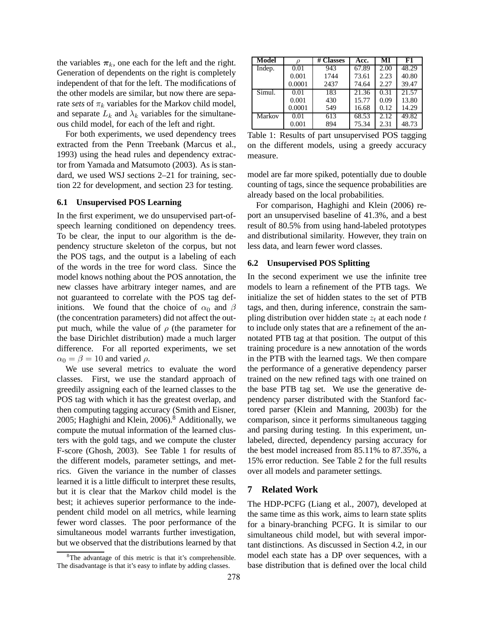the variables  $\pi_k$ , one each for the left and the right. Generation of dependents on the right is completely independent of that for the left. The modifications of the other models are similar, but now there are separate *sets* of  $\pi_k$  variables for the Markov child model, and separate  $L_k$  and  $\lambda_k$  variables for the simultaneous child model, for each of the left and right.

For both experiments, we used dependency trees extracted from the Penn Treebank (Marcus et al., 1993) using the head rules and dependency extractor from Yamada and Matsumoto (2003). As is standard, we used WSJ sections 2–21 for training, section 22 for development, and section 23 for testing.

#### **6.1 Unsupervised POS Learning**

In the first experiment, we do unsupervised part-ofspeech learning conditioned on dependency trees. To be clear, the input to our algorithm is the dependency structure skeleton of the corpus, but not the POS tags, and the output is a labeling of each of the words in the tree for word class. Since the model knows nothing about the POS annotation, the new classes have arbitrary integer names, and are not guaranteed to correlate with the POS tag definitions. We found that the choice of  $\alpha_0$  and  $\beta$ (the concentration parameters) did not affect the output much, while the value of  $\rho$  (the parameter for the base Dirichlet distribution) made a much larger difference. For all reported experiments, we set  $\alpha_0 = \beta = 10$  and varied  $\rho$ .

We use several metrics to evaluate the word classes. First, we use the standard approach of greedily assigning each of the learned classes to the POS tag with which it has the greatest overlap, and then computing tagging accuracy (Smith and Eisner, 2005; Haghighi and Klein,  $2006$ ).<sup>8</sup> Additionally, we compute the mutual information of the learned clusters with the gold tags, and we compute the cluster F-score (Ghosh, 2003). See Table 1 for results of the different models, parameter settings, and metrics. Given the variance in the number of classes learned it is a little difficult to interpret these results, but it is clear that the Markov child model is the best; it achieves superior performance to the independent child model on all metrics, while learning fewer word classes. The poor performance of the simultaneous model warrants further investigation, but we observed that the distributions learned by that

| <b>Model</b> |                   | # Classes | Acc.  | MI   | F1                 |
|--------------|-------------------|-----------|-------|------|--------------------|
| Indep.       | $\overline{0.01}$ | 943       | 67.89 | 2.00 | $48.\overline{29}$ |
|              | 0.001             | 1744      | 73.61 | 2.23 | 40.80              |
|              | 0.0001            | 2437      | 74.64 | 2.27 | 39.47              |
| Simul.       | 0.01              | 183       | 21.36 | 0.31 | 21.57              |
|              | 0.001             | 430       | 15.77 | 0.09 | 13.80              |
|              | 0.0001            | 549       | 16.68 | 0.12 | 14.29              |
| Markov       | 0.01              | 613       | 68.53 | 2.12 | 49.82              |
|              | 0.001             | 894       | 75.34 | 2.31 | 48.73              |

Table 1: Results of part unsupervised POS tagging on the different models, using a greedy accuracy measure.

model are far more spiked, potentially due to double counting of tags, since the sequence probabilities are already based on the local probabilities.

For comparison, Haghighi and Klein (2006) report an unsupervised baseline of 41.3%, and a best result of 80.5% from using hand-labeled prototypes and distributional similarity. However, they train on less data, and learn fewer word classes.

#### **6.2 Unsupervised POS Splitting**

In the second experiment we use the infinite tree models to learn a refinement of the PTB tags. We initialize the set of hidden states to the set of PTB tags, and then, during inference, constrain the sampling distribution over hidden state  $z_t$  at each node t to include only states that are a refinement of the annotated PTB tag at that position. The output of this training procedure is a new annotation of the words in the PTB with the learned tags. We then compare the performance of a generative dependency parser trained on the new refined tags with one trained on the base PTB tag set. We use the generative dependency parser distributed with the Stanford factored parser (Klein and Manning, 2003b) for the comparison, since it performs simultaneous tagging and parsing during testing. In this experiment, unlabeled, directed, dependency parsing accuracy for the best model increased from 85.11% to 87.35%, a 15% error reduction. See Table 2 for the full results over all models and parameter settings.

### **7 Related Work**

The HDP-PCFG (Liang et al., 2007), developed at the same time as this work, aims to learn state splits for a binary-branching PCFG. It is similar to our simultaneous child model, but with several important distinctions. As discussed in Section 4.2, in our model each state has a DP over sequences, with a base distribution that is defined over the local child

<sup>&</sup>lt;sup>8</sup>The advantage of this metric is that it's comprehensible. The disadvantage is that it's easy to inflate by adding classes.